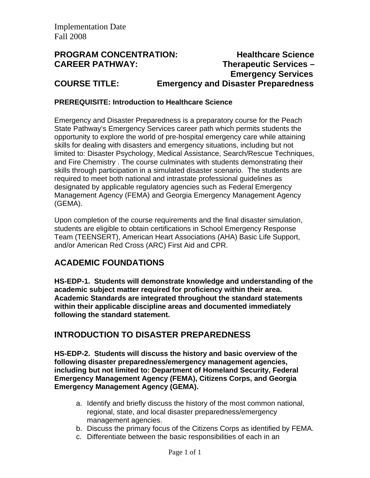# **PROGRAM CONCENTRATION: Healthcare Science CAREER PATHWAY: Therapeutic Services – Emergency Services COURSE TITLE: Emergency and Disaster Preparedness**

### **PREREQUISITE: Introduction to Healthcare Science**

Emergency and Disaster Preparedness is a preparatory course for the Peach State Pathway's Emergency Services career path which permits students the opportunity to explore the world of pre-hospital emergency care while attaining skills for dealing with disasters and emergency situations, including but not limited to: Disaster Psychology, Medical Assistance, Search/Rescue Techniques, and Fire Chemistry . The course culminates with students demonstrating their skills through participation in a simulated disaster scenario. The students are required to meet both national and intrastate professional guidelines as designated by applicable regulatory agencies such as Federal Emergency Management Agency (FEMA) and Georgia Emergency Management Agency (GEMA).

Upon completion of the course requirements and the final disaster simulation, students are eligible to obtain certifications in School Emergency Response Team (TEENSERT), American Heart Associations (AHA) Basic Life Support, and/or American Red Cross (ARC) First Aid and CPR.

# **ACADEMIC FOUNDATIONS**

**HS-EDP-1. Students will demonstrate knowledge and understanding of the academic subject matter required for proficiency within their area. Academic Standards are integrated throughout the standard statements within their applicable discipline areas and documented immediately following the standard statement.** 

## **INTRODUCTION TO DISASTER PREPAREDNESS**

**HS-EDP-2. Students will discuss the history and basic overview of the following disaster preparedness/emergency management agencies, including but not limited to: Department of Homeland Security, Federal Emergency Management Agency (FEMA), Citizens Corps, and Georgia Emergency Management Agency (GEMA).** 

- a. Identify and briefly discuss the history of the most common national, regional, state, and local disaster preparedness/emergency management agencies.
- b. Discuss the primary focus of the Citizens Corps as identified by FEMA.
- c. Differentiate between the basic responsibilities of each in an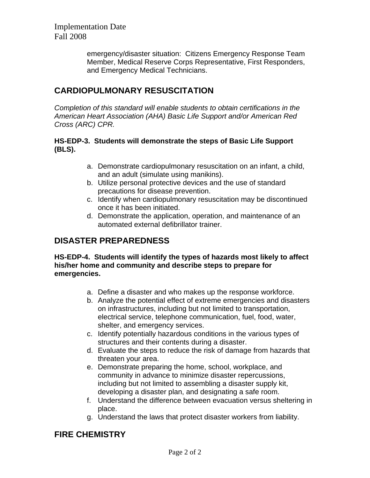> emergency/disaster situation: Citizens Emergency Response Team Member, Medical Reserve Corps Representative, First Responders, and Emergency Medical Technicians.

# **CARDIOPULMONARY RESUSCITATION**

*Completion of this standard will enable students to obtain certifications in the American Heart Association (AHA) Basic Life Support and/or American Red Cross (ARC) CPR.*

### **HS-EDP-3. Students will demonstrate the steps of Basic Life Support (BLS).**

- a. Demonstrate cardiopulmonary resuscitation on an infant, a child, and an adult (simulate using manikins).
- b. Utilize personal protective devices and the use of standard precautions for disease prevention.
- c. Identify when cardiopulmonary resuscitation may be discontinued once it has been initiated.
- d. Demonstrate the application, operation, and maintenance of an automated external defibrillator trainer.

# **DISASTER PREPAREDNESS**

**HS-EDP-4. Students will identify the types of hazards most likely to affect his/her home and community and describe steps to prepare for emergencies.** 

- a. Define a disaster and who makes up the response workforce.
- b. Analyze the potential effect of extreme emergencies and disasters on infrastructures, including but not limited to transportation, electrical service, telephone communication, fuel, food, water, shelter, and emergency services.
- c. Identify potentially hazardous conditions in the various types of structures and their contents during a disaster.
- d. Evaluate the steps to reduce the risk of damage from hazards that threaten your area.
- e. Demonstrate preparing the home, school, workplace, and community in advance to minimize disaster repercussions, including but not limited to assembling a disaster supply kit, developing a disaster plan, and designating a safe room.
- f. Understand the difference between evacuation versus sheltering in place.
- g. Understand the laws that protect disaster workers from liability.

# **FIRE CHEMISTRY**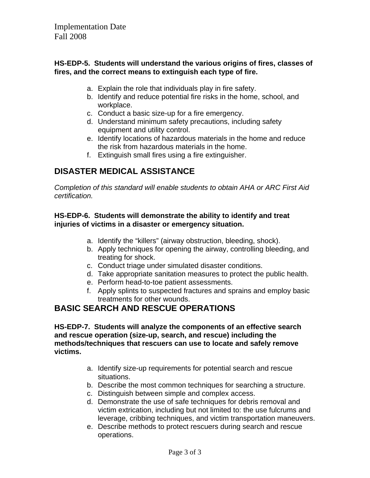### **HS-EDP-5. Students will understand the various origins of fires, classes of fires, and the correct means to extinguish each type of fire.**

- a. Explain the role that individuals play in fire safety.
- b. Identify and reduce potential fire risks in the home, school, and workplace.
- c. Conduct a basic size-up for a fire emergency.
- d. Understand minimum safety precautions, including safety equipment and utility control.
- e. Identify locations of hazardous materials in the home and reduce the risk from hazardous materials in the home.
- f. Extinguish small fires using a fire extinguisher.

# **DISASTER MEDICAL ASSISTANCE**

*Completion of this standard will enable students to obtain AHA or ARC First Aid certification.*

### **HS-EDP-6. Students will demonstrate the ability to identify and treat injuries of victims in a disaster or emergency situation.**

- a. Identify the "killers" (airway obstruction, bleeding, shock).
- b. Apply techniques for opening the airway, controlling bleeding, and treating for shock.
- c. Conduct triage under simulated disaster conditions.
- d. Take appropriate sanitation measures to protect the public health.
- e. Perform head-to-toe patient assessments.
- f. Apply splints to suspected fractures and sprains and employ basic treatments for other wounds.

# **BASIC SEARCH AND RESCUE OPERATIONS**

**HS-EDP-7. Students will analyze the components of an effective search and rescue operation (size-up, search, and rescue) including the methods/techniques that rescuers can use to locate and safely remove victims.** 

- a. Identify size-up requirements for potential search and rescue situations.
- b. Describe the most common techniques for searching a structure.
- c. Distinguish between simple and complex access.
- d. Demonstrate the use of safe techniques for debris removal and victim extrication, including but not limited to: the use fulcrums and leverage, cribbing techniques, and victim transportation maneuvers.
- e. Describe methods to protect rescuers during search and rescue operations.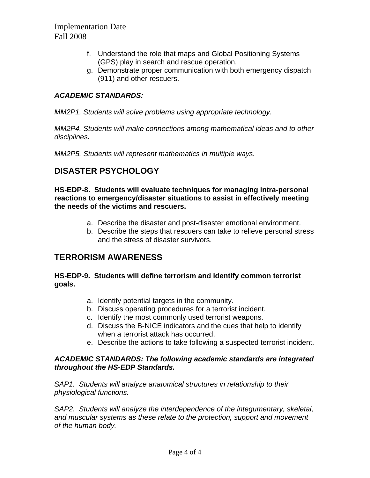- f. Understand the role that maps and Global Positioning Systems (GPS) play in search and rescue operation.
- g. Demonstrate proper communication with both emergency dispatch (911) and other rescuers.

## *ACADEMIC STANDARDS:*

*MM2P1. Students will solve problems using appropriate technology.* 

*MM2P4. Students will make connections among mathematical ideas and to other disciplines***.** 

*MM2P5. Students will represent mathematics in multiple ways.* 

# **DISASTER PSYCHOLOGY**

**HS-EDP-8. Students will evaluate techniques for managing intra-personal reactions to emergency/disaster situations to assist in effectively meeting the needs of the victims and rescuers.** 

- a. Describe the disaster and post-disaster emotional environment.
- b. Describe the steps that rescuers can take to relieve personal stress and the stress of disaster survivors.

## **TERRORISM AWARENESS**

### **HS-EDP-9. Students will define terrorism and identify common terrorist goals.**

- a. Identify potential targets in the community.
- b. Discuss operating procedures for a terrorist incident.
- c. Identify the most commonly used terrorist weapons.
- d. Discuss the B-NICE indicators and the cues that help to identify when a terrorist attack has occurred.
- e. Describe the actions to take following a suspected terrorist incident.

#### *ACADEMIC STANDARDS: The following academic standards are integrated throughout the HS-EDP Standards.*

*SAP1. Students will analyze anatomical structures in relationship to their physiological functions.* 

*SAP2. Students will analyze the interdependence of the integumentary, skeletal, and muscular systems as these relate to the protection, support and movement of the human body.*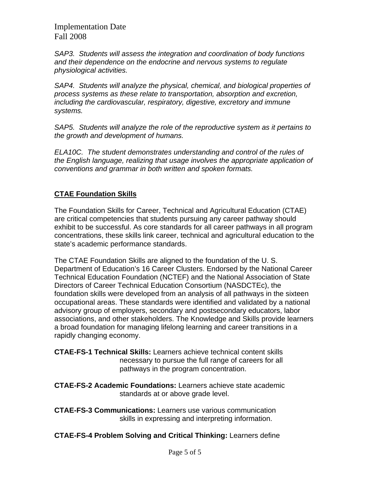*SAP3. Students will assess the integration and coordination of body functions and their dependence on the endocrine and nervous systems to regulate physiological activities.*

*SAP4. Students will analyze the physical, chemical, and biological properties of process systems as these relate to transportation, absorption and excretion, including the cardiovascular, respiratory, digestive, excretory and immune systems.*

*SAP5. Students will analyze the role of the reproductive system as it pertains to the growth and development of humans.*

*ELA10C. The student demonstrates understanding and control of the rules of the English language, realizing that usage involves the appropriate application of conventions and grammar in both written and spoken formats.* 

## **CTAE Foundation Skills**

The Foundation Skills for Career, Technical and Agricultural Education (CTAE) are critical competencies that students pursuing any career pathway should exhibit to be successful. As core standards for all career pathways in all program concentrations, these skills link career, technical and agricultural education to the state's academic performance standards.

The CTAE Foundation Skills are aligned to the foundation of the U. S. Department of Education's 16 Career Clusters. Endorsed by the National Career Technical Education Foundation (NCTEF) and the National Association of State Directors of Career Technical Education Consortium (NASDCTEc), the foundation skills were developed from an analysis of all pathways in the sixteen occupational areas. These standards were identified and validated by a national advisory group of employers, secondary and postsecondary educators, labor associations, and other stakeholders. The Knowledge and Skills provide learners a broad foundation for managing lifelong learning and career transitions in a rapidly changing economy.

**CTAE-FS-1 Technical Skills:** Learners achieve technical content skills necessary to pursue the full range of careers for all pathways in the program concentration.

**CTAE-FS-2 Academic Foundations:** Learners achieve state academic standards at or above grade level.

**CTAE-FS-3 Communications:** Learners use various communication skills in expressing and interpreting information.

**CTAE-FS-4 Problem Solving and Critical Thinking:** Learners define